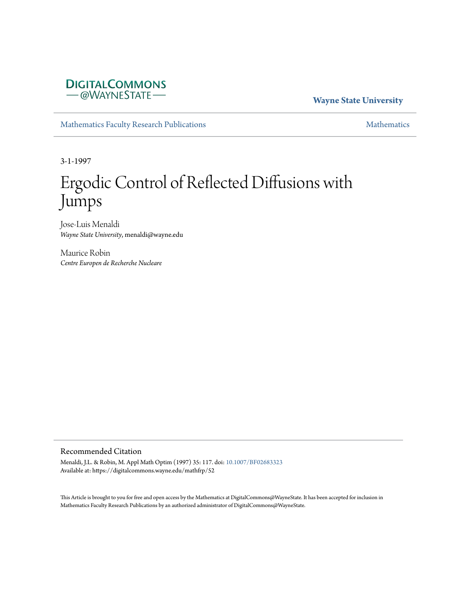## **DIGITALCOMMONS** - @WAYNESTATE-

### **Wayne State University**

[Mathematics Faculty Research Publications](https://digitalcommons.wayne.edu/mathfrp) **[Mathematics](https://digitalcommons.wayne.edu/math)** Mathematics

3-1-1997

# Ergodic Control of Reflected Diffusions with Jumps

Jose-Luis Menaldi *Wayne State University*, menaldi@wayne.edu

Maurice Robin *Centre Europen de Recherche Nucleare*

#### Recommended Citation

Menaldi, J.L. & Robin, M. Appl Math Optim (1997) 35: 117. doi: [10.1007/BF02683323](https://dx.doi.org/10.1007/BF02683323) Available at: https://digitalcommons.wayne.edu/mathfrp/52

This Article is brought to you for free and open access by the Mathematics at DigitalCommons@WayneState. It has been accepted for inclusion in Mathematics Faculty Research Publications by an authorized administrator of DigitalCommons@WayneState.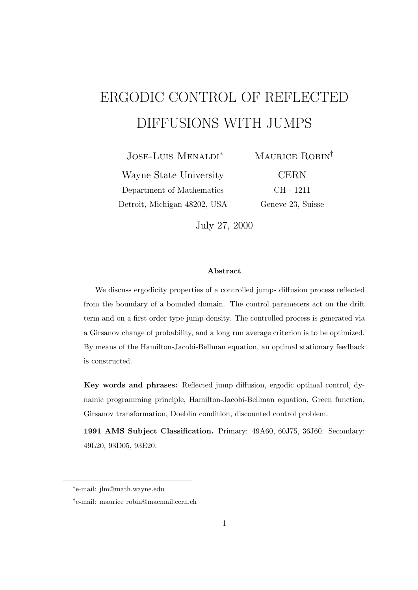# ERGODIC CONTROL OF REFLECTED DIFFUSIONS WITH JUMPS

Jose-Luis Menaldi*<sup>∗</sup>*

Wayne State University Department of Mathematics Detroit, Michigan 48202, USA Maurice Robin*†* CERN CH - 1211 Geneve 23, Suisse

July 27, 2000

#### **Abstract**

We discuss ergodicity properties of a controlled jumps diffusion process reflected from the boundary of a bounded domain. The control parameters act on the drift term and on a first order type jump density. The controlled process is generated via a Girsanov change of probability, and a long run average criterion is to be optimized. By means of the Hamilton-Jacobi-Bellman equation, an optimal stationary feedback is constructed.

**Key words and phrases:** Reflected jump diffusion, ergodic optimal control, dynamic programming principle, Hamilton-Jacobi-Bellman equation, Green function, Girsanov transformation, Doeblin condition, discounted control problem.

**1991 AMS Subject Classification.** Primary: 49A60, 60J75, 36J60. Secondary: 49L20, 93D05, 93E20.

*<sup>∗</sup>* e-mail: jlm@math.wayne.edu

*<sup>†</sup>* e-mail: maurice robin@macmail.cern.ch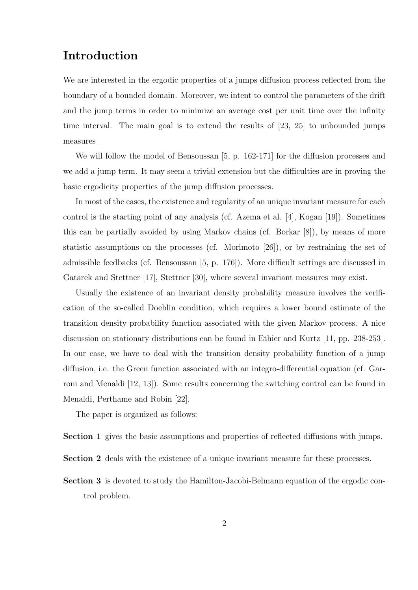# **Introduction**

We are interested in the ergodic properties of a jumps diffusion process reflected from the boundary of a bounded domain. Moreover, we intent to control the parameters of the drift and the jump terms in order to minimize an average cost per unit time over the infinity time interval. The main goal is to extend the results of [23, 25] to unbounded jumps measures

We will follow the model of Bensoussan [5, p. 162-171] for the diffusion processes and we add a jump term. It may seem a trivial extension but the difficulties are in proving the basic ergodicity properties of the jump diffusion processes.

In most of the cases, the existence and regularity of an unique invariant measure for each control is the starting point of any analysis (cf. Azema et al. [4], Kogan [19]). Sometimes this can be partially avoided by using Markov chains (cf. Borkar [8]), by means of more statistic assumptions on the processes (cf. Morimoto [26]), or by restraining the set of admissible feedbacks (cf. Bensoussan [5, p. 176]). More difficult settings are discussed in Gatarek and Stettner [17], Stettner [30], where several invariant measures may exist.

Usually the existence of an invariant density probability measure involves the verification of the so-called Doeblin condition, which requires a lower bound estimate of the transition density probability function associated with the given Markov process. A nice discussion on stationary distributions can be found in Ethier and Kurtz [11, pp. 238-253]. In our case, we have to deal with the transition density probability function of a jump diffusion, i.e. the Green function associated with an integro-differential equation (cf. Garroni and Menaldi [12, 13]). Some results concerning the switching control can be found in Menaldi, Perthame and Robin [22].

The paper is organized as follows:

**Section 1** gives the basic assumptions and properties of reflected diffusions with jumps.

- **Section 2** deals with the existence of a unique invariant measure for these processes.
- **Section 3** is devoted to study the Hamilton-Jacobi-Belmann equation of the ergodic control problem.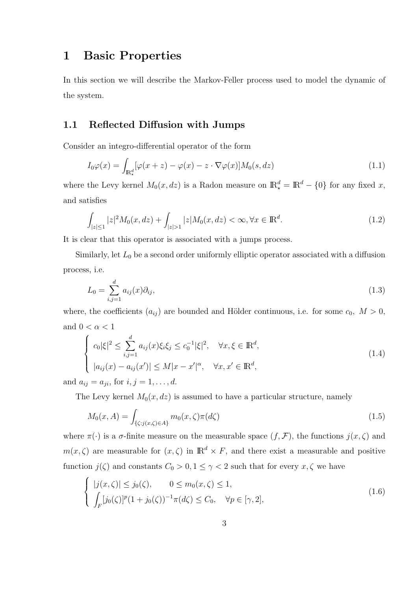## **1 Basic Properties**

In this section we will describe the Markov-Feller process used to model the dynamic of the system.

#### **1.1 Reflected Diffusion with Jumps**

Consider an integro-differential operator of the form

$$
I_0\varphi(x) = \int_{\mathbb{R}^d_*} [\varphi(x+z) - \varphi(x) - z \cdot \nabla \varphi(x)] M_0(s, dz)
$$
\n(1.1)

where the Levy kernel  $M_0(x, dz)$  is a Radon measure on  $\mathbb{R}^d_* = \mathbb{R}^d - \{0\}$  for any fixed x, and satisfies

$$
\int_{|z| \le 1} |z|^2 M_0(x, dz) + \int_{|z| > 1} |z| M_0(x, dz) < \infty, \forall x \in \mathbb{R}^d. \tag{1.2}
$$

It is clear that this operator is associated with a jumps process.

Similarly, let  $L_0$  be a second order uniformly elliptic operator associated with a diffusion process, i.e.

$$
L_0 = \sum_{i,j=1}^d a_{ij}(x)\partial_{ij},
$$
\n(1.3)

where, the coefficients  $(a_{ij})$  are bounded and Hölder continuous, i.e. for some  $c_0$ ,  $M > 0$ , and  $0 < \alpha < 1$ 

$$
\begin{cases} c_0|\xi|^2 \leq \sum_{i,j=1}^d a_{ij}(x)\xi_i\xi_j \leq c_0^{-1}|\xi|^2, \quad \forall x, \xi \in \mathbb{R}^d, \\ |a_{ij}(x) - a_{ij}(x')| \leq M|x - x'|^\alpha, \quad \forall x, x' \in \mathbb{R}^d, \end{cases}
$$
(1.4)

and  $a_{ij} = a_{ji}$ , for  $i, j = 1, ..., d$ .

The Levy kernel  $M_0(x, dz)$  is assumed to have a particular structure, namely

$$
M_0(x, A) = \int_{\{\zeta : j(x, \zeta) \in A\}} m_0(x, \zeta) \pi(d\zeta)
$$
\n(1.5)

where  $\pi(\cdot)$  is a  $\sigma$ -finite measure on the measurable space  $(f, \mathcal{F})$ , the functions  $j(x, \zeta)$  and  $m(x,\zeta)$  are measurable for  $(x,\zeta)$  in  $\mathbb{R}^d \times F$ , and there exist a measurable and positive function  $j(\zeta)$  and constants  $C_0 > 0, 1 \leq \gamma < 2$  such that for every  $x, \zeta$  we have

$$
\begin{cases} |j(x,\zeta)| \le j_0(\zeta), & 0 \le m_0(x,\zeta) \le 1, \\ \int_F [j_0(\zeta)]^p (1+j_0(\zeta))^{-1} \pi(d\zeta) \le C_0, & \forall p \in [\gamma,2], \end{cases}
$$
(1.6)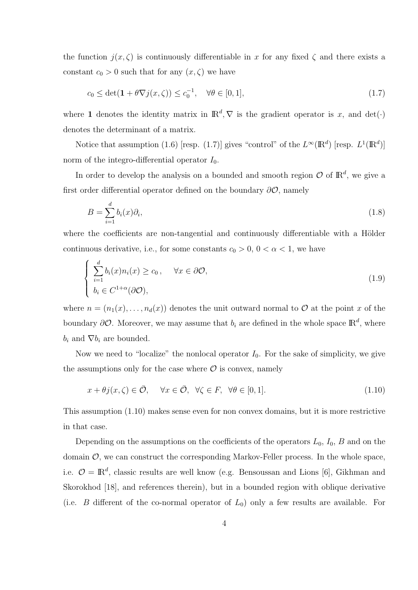the function  $j(x,\zeta)$  is continuously differentiable in x for any fixed  $\zeta$  and there exists a constant  $c_0 > 0$  such that for any  $(x, \zeta)$  we have

$$
c_0 \le \det(\mathbf{1} + \theta \nabla j(x, \zeta)) \le c_0^{-1}, \quad \forall \theta \in [0, 1], \tag{1.7}
$$

where **1** denotes the identity matrix in  $\mathbb{R}^d$ ,  $\nabla$  is the gradient operator is *x*, and det(*·*) denotes the determinant of a matrix.

Notice that assumption (1.6) [resp. (1.7)] gives "control" of the  $L^{\infty}(\mathbb{R}^d)$  [resp.  $L^1(\mathbb{R}^d)$ ] norm of the integro-differential operator  $I_0$ .

In order to develop the analysis on a bounded and smooth region  $\mathcal O$  of  $\mathbb R^d$ , we give a first order differential operator defined on the boundary *∂O*, namely

$$
B = \sum_{i=1}^{d} b_i(x)\partial_i,
$$
\n(1.8)

where the coefficients are non-tangential and continuously differentiable with a Hölder continuous derivative, i.e., for some constants  $c_0 > 0$ ,  $0 < \alpha < 1$ , we have

$$
\begin{cases}\n\sum_{i=1}^{d} b_i(x) n_i(x) \ge c_0, & \forall x \in \partial \mathcal{O}, \\
b_i \in C^{1+\alpha}(\partial \mathcal{O}),\n\end{cases}
$$
\n(1.9)

where  $n = (n_1(x), \ldots, n_d(x))$  denotes the unit outward normal to  $\mathcal O$  at the point *x* of the boundary  $\partial O$ . Moreover, we may assume that  $b_i$  are defined in the whole space  $\mathbb{R}^d$ , where  $b_i$  and  $\nabla b_i$  are bounded.

Now we need to "localize" the nonlocal operator  $I_0$ . For the sake of simplicity, we give the assumptions only for the case where  $\mathcal O$  is convex, namely

$$
x + \theta j(x, \zeta) \in \bar{\mathcal{O}}, \quad \forall x \in \bar{\mathcal{O}}, \ \forall \zeta \in F, \ \forall \theta \in [0, 1]. \tag{1.10}
$$

This assumption (1.10) makes sense even for non convex domains, but it is more restrictive in that case.

Depending on the assumptions on the coefficients of the operators  $L_0$ ,  $I_0$ ,  $B$  and on the domain  $\mathcal{O}$ , we can construct the corresponding Markov-Feller process. In the whole space, i.e.  $\mathcal{O} = \mathbb{R}^d$ , classic results are well know (e.g. Bensoussan and Lions [6], Gikhman and Skorokhod [18], and references therein), but in a bounded region with oblique derivative (i.e. *B* different of the co-normal operator of  $L_0$ ) only a few results are available. For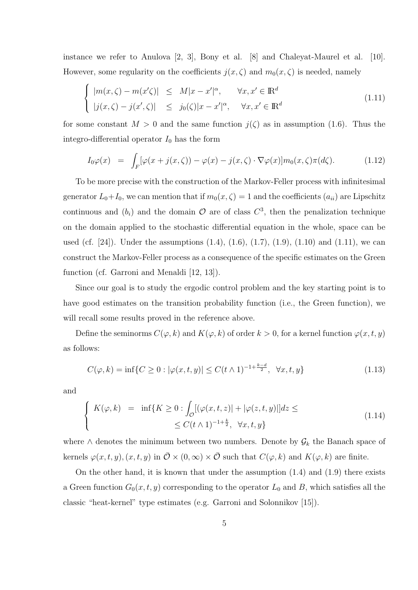instance we refer to Anulova [2, 3], Bony et al. [8] and Chaleyat-Maurel et al. [10]. However, some regularity on the coefficients  $j(x,\zeta)$  and  $m_0(x,\zeta)$  is needed, namely

$$
\begin{cases} |m(x,\zeta) - m(x'\zeta)| \leq M|x - x'|^{\alpha}, & \forall x, x' \in \mathbb{R}^d \\ |j(x,\zeta) - j(x',\zeta)| \leq j_0(\zeta)|x - x'|^{\alpha}, & \forall x, x' \in \mathbb{R}^d \end{cases}
$$
(1.11)

for some constant  $M > 0$  and the same function  $j(\zeta)$  as in assumption (1.6). Thus the integro-differential operator  $I_0$  has the form

$$
I_0\varphi(x) = \int_F [\varphi(x+j(x,\zeta)) - \varphi(x) - j(x,\zeta) \cdot \nabla \varphi(x)] m_0(x,\zeta) \pi(d\zeta).
$$
 (1.12)

To be more precise with the construction of the Markov-Feller process with infinitesimal generator  $L_0+I_0$ , we can mention that if  $m_0(x,\zeta)=1$  and the coefficients  $(a_{ii})$  are Lipschitz continuous and  $(b_i)$  and the domain  $\mathcal O$  are of class  $C^3$ , then the penalization technique on the domain applied to the stochastic differential equation in the whole, space can be used (cf. [24]). Under the assumptions  $(1.4)$ ,  $(1.6)$ ,  $(1.7)$ ,  $(1.9)$ ,  $(1.10)$  and  $(1.11)$ , we can construct the Markov-Feller process as a consequence of the specific estimates on the Green function (cf. Garroni and Menaldi [12, 13]).

Since our goal is to study the ergodic control problem and the key starting point is to have good estimates on the transition probability function (i.e., the Green function), we will recall some results proved in the reference above.

Define the seminorms  $C(\varphi, k)$  and  $K(\varphi, k)$  of order  $k > 0$ , for a kernel function  $\varphi(x, t, y)$ as follows:

$$
C(\varphi, k) = \inf \{ C \ge 0 : |\varphi(x, t, y)| \le C(t \wedge 1)^{-1 + \frac{k - d}{2}}, \ \forall x, t, y \}
$$
(1.13)

and

$$
\begin{cases}\nK(\varphi, k) = \inf\{K \ge 0 : \int_{\mathcal{O}} [(\varphi(x, t, z)) + |\varphi(z, t, y)|] dz \le \le C(t \wedge 1)^{-1 + \frac{k}{2}}, \quad \forall x, t, y\}\n\end{cases} \tag{1.14}
$$

where  $\wedge$  denotes the minimum between two numbers. Denote by  $\mathcal{G}_k$  the Banach space of kernels  $\varphi(x, t, y)$ ,  $(x, t, y)$  in  $\overline{\mathcal{O}} \times (0, \infty) \times \overline{\mathcal{O}}$  such that  $C(\varphi, k)$  and  $K(\varphi, k)$  are finite.

On the other hand, it is known that under the assumption (1.4) and (1.9) there exists a Green function  $G_0(x, t, y)$  corresponding to the operator  $L_0$  and  $B$ , which satisfies all the classic "heat-kernel" type estimates (e.g. Garroni and Solonnikov [15]).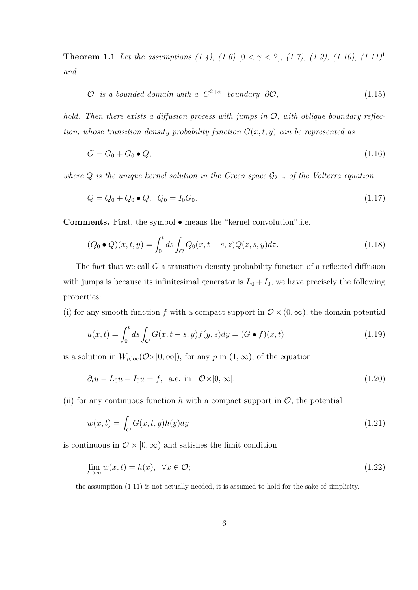**Theorem 1.1** *Let the assumptions (1.4), (1.6)*  $[0 < \gamma < 2]$ , (1.7), (1.9), (1.10), (1.11)<sup>1</sup> *and*

$$
O \t is a bounded domain with a C^{2+\alpha} boundary \t O\mathcal{O}, \t (1.15)
$$

*hold. Then there exists a diffusion process with jumps in*  $\overline{O}$ *, with oblique boundary reflection, whose transition density probability function*  $G(x, t, y)$  *can be represented as* 

$$
G = G_0 + G_0 \bullet Q,\tag{1.16}
$$

*where*  $Q$  *is the unique kernel solution in the Green space*  $G_{2-\gamma}$  *of the Volterra equation* 

$$
Q = Q_0 + Q_0 \bullet Q, \ Q_0 = I_0 G_0. \tag{1.17}
$$

**Comments.** First, the symbol *•* means the "kernel convolution",i.e.

$$
(Q_0 \bullet Q)(x, t, y) = \int_0^t ds \int_{\mathcal{O}} Q_0(x, t - s, z) Q(z, s, y) dz.
$$
 (1.18)

The fact that we call *G* a transition density probability function of a reflected diffusion with jumps is because its infinitesimal generator is  $L_0 + I_0$ , we have precisely the following properties:

(i) for any smooth function *f* with a compact support in  $\mathcal{O} \times (0, \infty)$ , the domain potential

$$
u(x,t) = \int_0^t ds \int_{\mathcal{O}} G(x,t-s,y)f(y,s)dy \doteq (G \bullet f)(x,t)
$$
\n(1.19)

is a solution in  $W_{p,loc}(\mathcal{O}\times]0,\infty[)$ , for any *p* in  $(1,\infty)$ , of the equation

$$
\partial_t u - L_0 u - I_0 u = f, \quad \text{a.e. in} \quad \mathcal{O} \times ]0, \infty[;
$$
\n(1.20)

(ii) for any continuous function h with a compact support in  $\mathcal{O}$ , the potential

$$
w(x,t) = \int_{\mathcal{O}} G(x,t,y)h(y)dy
$$
\n(1.21)

is continuous in  $\mathcal{O} \times [0, \infty)$  and satisfies the limit condition

$$
\lim_{t \to \infty} w(x, t) = h(x), \ \forall x \in \mathcal{O};\tag{1.22}
$$

<sup>1</sup>the assumption (1.11) is not actually needed, it is assumed to hold for the sake of simplicity.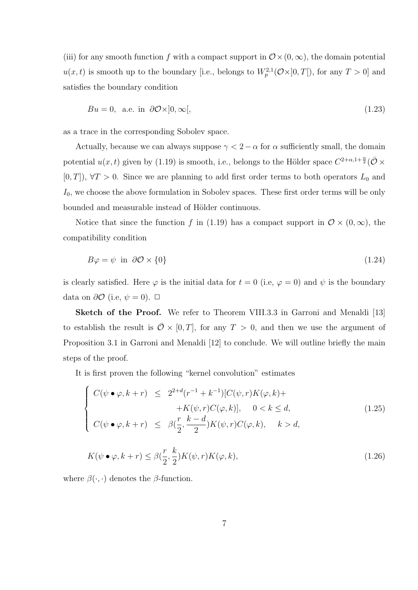(iii) for any smooth function f with a compact support in  $\mathcal{O}\times(0,\infty)$ , the domain potential  $u(x,t)$  is smooth up to the boundary [i.e., belongs to  $W_p^{2,1}(\mathcal{O}\times]0,T[)$ , for any  $T>0$ ] and satisfies the boundary condition

$$
Bu = 0, \text{ a.e. in } \partial \mathcal{O} \times ]0, \infty[, \tag{1.23}
$$

as a trace in the corresponding Sobolev space.

Actually, because we can always suppose  $\gamma < 2 - \alpha$  for  $\alpha$  sufficiently small, the domain potential  $u(x, t)$  given by (1.19) is smooth, i.e., belongs to the Hölder space  $C^{2+\alpha,1+\frac{\alpha}{2}}(\bar{\mathcal{O}} \times$  $[0, T]$ ,  $\forall T > 0$ . Since we are planning to add first order terms to both operators  $L_0$  and *I*0, we choose the above formulation in Sobolev spaces. These first order terms will be only bounded and measurable instead of Hölder continuous.

Notice that since the function *f* in (1.19) has a compact support in  $\mathcal{O} \times (0, \infty)$ , the compatibility condition

$$
B\varphi = \psi \text{ in } \partial\mathcal{O} \times \{0\} \tag{1.24}
$$

is clearly satisfied. Here  $\varphi$  is the initial data for  $t = 0$  (i.e,  $\varphi = 0$ ) and  $\psi$  is the boundary data on  $\partial \mathcal{O}$  (i.e,  $\psi = 0$ ). □

**Sketch of the Proof.** We refer to Theorem VIII.3.3 in Garroni and Menaldi [13] to establish the result is  $\overline{\mathcal{O}} \times [0, T]$ , for any  $T > 0$ , and then we use the argument of Proposition 3.1 in Garroni and Menaldi [12] to conclude. We will outline briefly the main steps of the proof.

It is first proven the following "kernel convolution" estimates

$$
\begin{cases}\nC(\psi \bullet \varphi, k+r) \leq 2^{2+d} (r^{-1} + k^{-1}) [C(\psi, r) K(\varphi, k)+\n+ K(\psi, r) C(\varphi, k)], \quad 0 < k \leq d, \\
C(\psi \bullet \varphi, k+r) \leq \beta(\frac{r}{2}, \frac{k-d}{2}) K(\psi, r) C(\varphi, k), \quad k > d,\n\end{cases}
$$
\n(1.25)

$$
K(\psi \bullet \varphi, k+r) \le \beta(\frac{r}{2}, \frac{k}{2}) K(\psi, r) K(\varphi, k), \qquad (1.26)
$$

where  $\beta(\cdot, \cdot)$  denotes the  $\beta$ -function.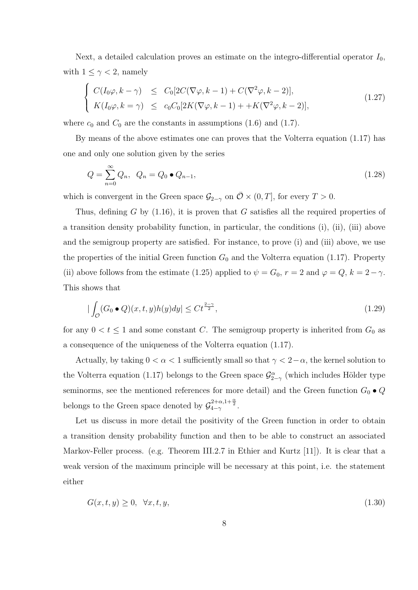Next, a detailed calculation proves an estimate on the integro-differential operator *I*0, with  $1 \leq \gamma < 2$ , namely

$$
\begin{cases}\nC(I_0\varphi, k - \gamma) \leq C_0[2C(\nabla \varphi, k - 1) + C(\nabla^2 \varphi, k - 2)], \\
K(I_0\varphi, k = \gamma) \leq c_0C_0[2K(\nabla \varphi, k - 1) + +K(\nabla^2 \varphi, k - 2)],\n\end{cases}
$$
\n(1.27)

where  $c_0$  and  $C_0$  are the constants in assumptions (1.6) and (1.7).

By means of the above estimates one can proves that the Volterra equation (1.17) has one and only one solution given by the series

$$
Q = \sum_{n=0}^{\infty} Q_n, \ \ Q_n = Q_0 \bullet Q_{n-1}, \tag{1.28}
$$

which is convergent in the Green space  $\mathcal{G}_{2-\gamma}$  on  $\overline{\mathcal{O}} \times (0,T]$ , for every  $T > 0$ .

Thus, defining *G* by (1.16), it is proven that *G* satisfies all the required properties of a transition density probability function, in particular, the conditions (i), (ii), (iii) above and the semigroup property are satisfied. For instance, to prove (i) and (iii) above, we use the properties of the initial Green function  $G_0$  and the Volterra equation (1.17). Property (ii) above follows from the estimate (1.25) applied to  $\psi = G_0$ ,  $r = 2$  and  $\varphi = Q$ ,  $k = 2 - \gamma$ . This shows that

$$
|\int_{\mathcal{O}} (G_0 \bullet Q)(x, t, y) h(y) dy| \leq C t^{\frac{2-\gamma}{2}}, \tag{1.29}
$$

for any  $0 < t \leq 1$  and some constant *C*. The semigroup property is inherited from  $G_0$  as a consequence of the uniqueness of the Volterra equation (1.17).

Actually, by taking  $0 < \alpha < 1$  sufficiently small so that  $\gamma < 2-\alpha$ , the kernel solution to the Volterra equation (1.17) belongs to the Green space  $\mathcal{G}^{\alpha}_{2-\gamma}$  (which includes Hölder type seminorms, see the mentioned references for more detail) and the Green function  $G_0 \bullet Q$ belongs to the Green space denoted by  $\mathcal{G}_{4-\gamma}^{2+\alpha,1+\frac{\alpha}{2}}$ .

Let us discuss in more detail the positivity of the Green function in order to obtain a transition density probability function and then to be able to construct an associated Markov-Feller process. (e.g. Theorem III.2.7 in Ethier and Kurtz [11]). It is clear that a weak version of the maximum principle will be necessary at this point, i.e. the statement either

$$
G(x, t, y) \ge 0, \quad \forall x, t, y,\tag{1.30}
$$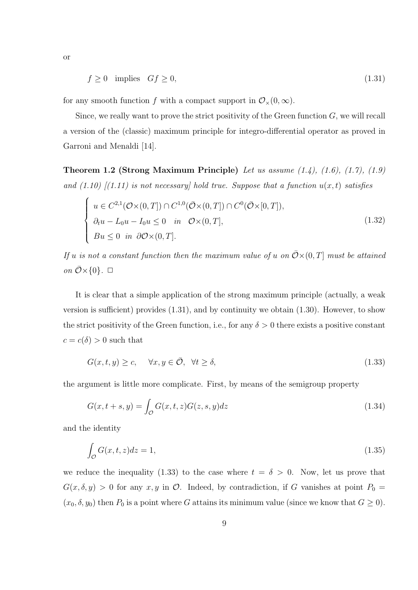or

$$
f \ge 0 \quad \text{implies} \quad Gf \ge 0,\tag{1.31}
$$

for any smooth function *f* with a compact support in  $\mathcal{O}_{\times}(0,\infty)$ .

Since, we really want to prove the strict positivity of the Green function *G*, we will recall a version of the (classic) maximum principle for integro-differential operator as proved in Garroni and Menaldi [14].

**Theorem 1.2 (Strong Maximum Principle)** *Let us assume (1.4), (1.6), (1.7), (1.9)* and  $(1.10)$   $[(1.11)$  is not necessary] hold true. Suppose that a function  $u(x, t)$  satisfies

$$
\begin{cases}\n u \in C^{2,1}(\mathcal{O}\times(0,T]) \cap C^{1,0}(\bar{\mathcal{O}}\times(0,T]) \cap C^{0}(\bar{\mathcal{O}}\times[0,T]), \\
 \partial_t u - L_0 u - I_0 u \le 0 \quad in \quad \mathcal{O}\times(0,T], \\
 Bu \le 0 \quad in \quad \partial\mathcal{O}\times(0,T].\n\end{cases}
$$
\n(1.32)

*If u is not a constant function then the maximum value of <i>u on*  $\overline{O} \times (0, T]$  *must be attained*  $\overline{\mathcal{O}}\times\{0\}$ *.*  $\Box$ 

It is clear that a simple application of the strong maximum principle (actually, a weak version is sufficient) provides (1.31), and by continuity we obtain (1.30). However, to show the strict positivity of the Green function, i.e., for any  $\delta > 0$  there exists a positive constant  $c = c(\delta) > 0$  such that

$$
G(x,t,y) \ge c, \quad \forall x, y \in \bar{\mathcal{O}}, \quad \forall t \ge \delta,
$$
\n
$$
(1.33)
$$

the argument is little more complicate. First, by means of the semigroup property

$$
G(x,t+s,y) = \int_{\mathcal{O}} G(x,t,z)G(z,s,y)dz
$$
\n(1.34)

and the identity

$$
\int_{\mathcal{O}} G(x,t,z)dz = 1,\tag{1.35}
$$

we reduce the inequality (1.33) to the case where  $t = \delta > 0$ . Now, let us prove that  $G(x, \delta, y) > 0$  for any *x*, *y* in  $\mathcal{O}$ . Indeed, by contradiction, if *G* vanishes at point  $P_0 =$  $(x_0, \delta, y_0)$  then  $P_0$  is a point where *G* attains its minimum value (since we know that  $G \ge 0$ ).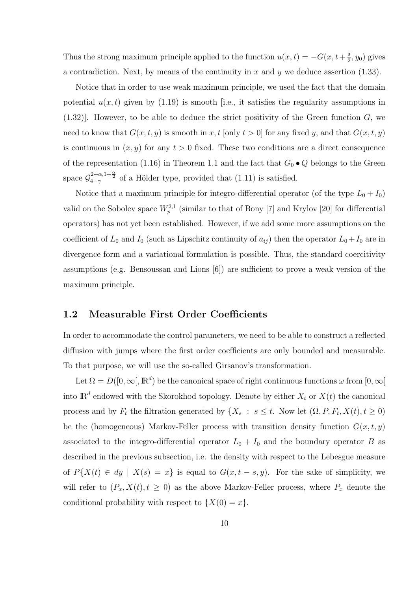Thus the strong maximum principle applied to the function  $u(x,t) = -G(x, t+\frac{\delta}{2})$  $\frac{\delta}{2}$ ,  $y_0$ ) gives a contradiction. Next, by means of the continuity in *x* and *y* we deduce assertion (1.33).

Notice that in order to use weak maximum principle, we used the fact that the domain potential  $u(x, t)$  given by  $(1.19)$  is smooth [i.e., it satisfies the regularity assumptions in (1.32)]. However, to be able to deduce the strict positivity of the Green function *G*, we need to know that  $G(x, t, y)$  is smooth in x, t [only  $t > 0$ ] for any fixed y, and that  $G(x, t, y)$ is continuous in  $(x, y)$  for any  $t > 0$  fixed. These two conditions are a direct consequence of the representation (1.16) in Theorem 1.1 and the fact that  $G_0 \bullet Q$  belongs to the Green space  $\mathcal{G}_{4-\gamma}^{2+\alpha,1+\frac{\alpha}{2}}$  of a Hölder type, provided that (1.11) is satisfied.

Notice that a maximum principle for integro-differential operator (of the type  $L_0 + I_0$ ) valid on the Sobolev space  $W_p^{2,1}$  (similar to that of Bony [7] and Krylov [20] for differential operators) has not yet been established. However, if we add some more assumptions on the coefficient of  $L_0$  and  $I_0$  (such as Lipschitz continuity of  $a_{ij}$ ) then the operator  $L_0 + I_0$  are in divergence form and a variational formulation is possible. Thus, the standard coercitivity assumptions (e.g. Bensoussan and Lions [6]) are sufficient to prove a weak version of the maximum principle.

#### **1.2 Measurable First Order Coefficients**

In order to accommodate the control parameters, we need to be able to construct a reflected diffusion with jumps where the first order coefficients are only bounded and measurable. To that purpose, we will use the so-called Girsanov's transformation.

Let  $\Omega = D([0,\infty), \mathbb{R}^d)$  be the canonical space of right continuous functions  $\omega$  from  $[0,\infty]$ into  $\mathbb{R}^d$  endowed with the Skorokhod topology. Denote by either  $X_t$  or  $X(t)$  the canonical process and by  $F_t$  the filtration generated by  $\{X_s : s \leq t$ . Now let  $(\Omega, P, F_t, X(t), t \geq 0)$ be the (homogeneous) Markov-Feller process with transition density function  $G(x, t, y)$ associated to the integro-differential operator  $L_0 + I_0$  and the boundary operator *B* as described in the previous subsection, i.e. the density with respect to the Lebesgue measure of  $P\{X(t) \in dy \mid X(s) = x\}$  is equal to  $G(x, t - s, y)$ . For the sake of simplicity, we will refer to  $(P_x, X(t), t \geq 0)$  as the above Markov-Feller process, where  $P_x$  denote the conditional probability with respect to  ${X(0) = x}$ .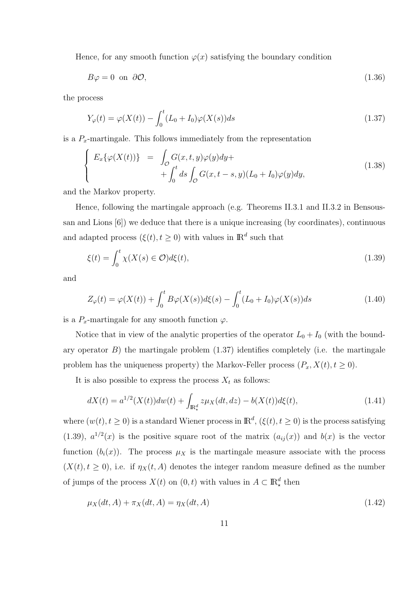Hence, for any smooth function  $\varphi(x)$  satisfying the boundary condition

$$
B\varphi = 0 \text{ on } \partial\mathcal{O},\tag{1.36}
$$

the process

$$
Y_{\varphi}(t) = \varphi(X(t)) - \int_0^t (L_0 + I_0)\varphi(X(s))ds
$$
\n(1.37)

is a  $P_x$ -martingale. This follows immediately from the representation

$$
\begin{cases}\nE_x\{\varphi(X(t))\} &= \int_{\mathcal{O}} G(x,t,y)\varphi(y)dy + \\
&+ \int_0^t ds \int_{\mathcal{O}} G(x,t-s,y)(L_0+I_0)\varphi(y)dy,\n\end{cases}\n\tag{1.38}
$$

and the Markov property.

Hence, following the martingale approach (e.g. Theorems II.3.1 and II.3.2 in Bensoussan and Lions [6]) we deduce that there is a unique increasing (by coordinates), continuous and adapted process  $(\xi(t), t \geq 0)$  with values in  $\mathbb{R}^d$  such that

$$
\xi(t) = \int_0^t \chi(X(s) \in \mathcal{O}) d\xi(t),\tag{1.39}
$$

and

$$
Z_{\varphi}(t) = \varphi(X(t)) + \int_0^t B\varphi(X(s))d\xi(s) - \int_0^t (L_0 + I_0)\varphi(X(s))ds
$$
\n(1.40)

is a  $P_x$ -martingale for any smooth function  $\varphi$ .

Notice that in view of the analytic properties of the operator  $L_0 + I_0$  (with the boundary operator  $B$ ) the martingale problem  $(1.37)$  identifies completely (i.e. the martingale problem has the uniqueness property) the Markov-Feller process  $(P_x, X(t), t \ge 0)$ .

It is also possible to express the process  $X_t$  as follows:

$$
dX(t) = a^{1/2}(X(t))dw(t) + \int_{\mathbb{R}^d_*} z\mu_X(dt, dz) - b(X(t))d\xi(t),
$$
\n(1.41)

where  $(w(t), t \geq 0)$  is a standard Wiener process in  $\mathbb{R}^d$ ,  $(\xi(t), t \geq 0)$  is the process satisfying (1.39),  $a^{1/2}(x)$  is the positive square root of the matrix  $(a_{ij}(x))$  and  $b(x)$  is the vector function  $(b_i(x))$ . The process  $\mu_X$  is the martingale measure associate with the process  $(X(t), t \ge 0)$ , i.e. if  $\eta_X(t, A)$  denotes the integer random measure defined as the number of jumps of the process  $X(t)$  on  $(0, t)$  with values in  $A \subset \mathbb{R}^d_*$  then

$$
\mu_X(dt, A) + \pi_X(dt, A) = \eta_X(dt, A)
$$
\n(1.42)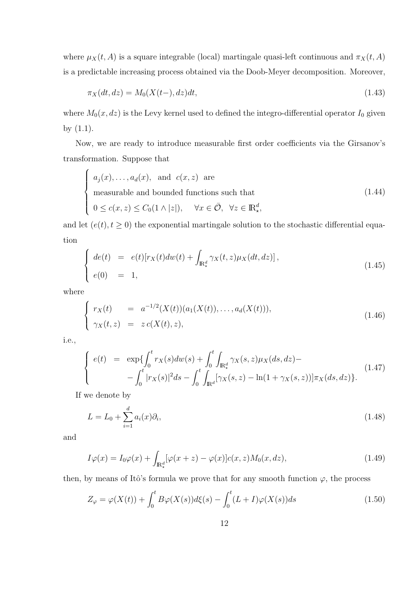where  $\mu_X(t, A)$  is a square integrable (local) martingale quasi-left continuous and  $\pi_X(t, A)$ is a predictable increasing process obtained via the Doob-Meyer decomposition. Moreover,

$$
\pi_X(dt, dz) = M_0(X(t-), dz)dt, \tag{1.43}
$$

where  $M_0(x, dz)$  is the Levy kernel used to defined the integro-differential operator  $I_0$  given by (1.1).

Now, we are ready to introduce measurable first order coefficients via the Girsanov's transformation. Suppose that

$$
\begin{cases}\na_j(x), \dots, a_d(x), \text{ and } c(x, z) \text{ are} \\
\text{measurable and bounded functions such that} \\
0 \le c(x, z) \le C_0(1 \wedge |z|), \quad \forall x \in \bar{\mathcal{O}}, \ \forall z \in \mathbb{R}^d_\star,\n\end{cases} \tag{1.44}
$$

and let  $(e(t), t \ge 0)$  the exponential martingale solution to the stochastic differential equation

$$
\begin{cases}\n\det(t) &= e(t)[r_X(t)dw(t) + \int_{\mathbb{R}^d_*} \gamma_X(t, z)\mu_X(dt, dz)], \\
e(0) &= 1,\n\end{cases}\n\tag{1.45}
$$

where

$$
\begin{cases}\nr_X(t) = a^{-1/2}(X(t))(a_1(X(t)), \dots, a_d(X(t))), \\
\gamma_X(t, z) = z c(X(t), z),\n\end{cases}
$$
\n(1.46)

i.e.,

$$
\begin{cases}\ne(t) &= \exp\{\int_0^t r_X(s)dw(s) + \int_0^t \int_{\mathbb{R}^d_*} \gamma_X(s,z)\mu_X(ds,dz) - \\ &- \int_0^t |r_X(s)|^2 ds - \int_0^t \int_{\mathbb{R}^d} [\gamma_X(s,z) - \ln(1 + \gamma_X(s,z))] \pi_X(ds,dz)\}.\n\end{cases}\n\tag{1.47}
$$

If we denote by

$$
L = L_0 + \sum_{i=1}^{d} a_i(x)\partial_i,
$$
\n(1.48)

and

$$
I\varphi(x) = I_0\varphi(x) + \int_{\mathbb{R}^d_*} [\varphi(x+z) - \varphi(x)]c(x,z)M_0(x,dz), \qquad (1.49)
$$

then, by means of Itô's formula we prove that for any smooth function  $\varphi$ , the process

$$
Z_{\varphi} = \varphi(X(t)) + \int_0^t B\varphi(X(s))d\xi(s) - \int_0^t (L+I)\varphi(X(s))ds
$$
\n(1.50)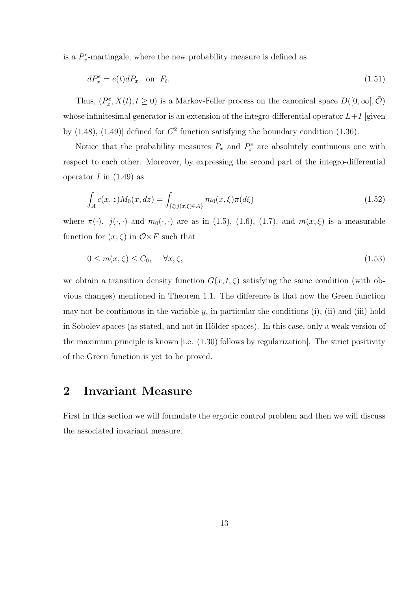is a  $P_x^e$ -martingale, where the new probability measure is defined as

$$
dP_x^e = e(t) dP_x \quad \text{on } \ F_t. \tag{1.51}
$$

Thus,  $(P_x^e, X(t), t \ge 0)$  is a Markov-Feller process on the canonical space  $D([0, \infty), \overline{O})$ whose infinitesimal generator is an extension of the integro-differential operator  $L+I$  [given by  $(1.48)$ ,  $(1.49)$  defined for  $C<sup>2</sup>$  function satisfying the boundary condition  $(1.36)$ .

Notice that the probability measures  $P_x$  and  $P_x^e$  are absolutely continuous one with respect to each other. Moreover, by expressing the second part of the integro-differential operator  $I$  in  $(1.49)$  as

$$
\int_{A} c(x, z) M_0(x, dz) = \int_{\{\xi : j(x, \xi) \in A\}} m_0(x, \xi) \pi(d\xi)
$$
\n(1.52)

where  $\pi(\cdot)$ ,  $j(\cdot, \cdot)$  and  $m_0(\cdot, \cdot)$  are as in (1.5), (1.6), (1.7), and  $m(x, \xi)$  is a measurable function for  $(x, \zeta)$  in  $\overline{\mathcal{O}} \times F$  such that

$$
0 \le m(x,\zeta) \le C_0, \quad \forall x,\zeta,\tag{1.53}
$$

we obtain a transition density function  $G(x, t, \zeta)$  satisfying the same condition (with obvious changes) mentioned in Theorem 1.1. The difference is that now the Green function may not be continuous in the variable  $y$ , in particular the conditions (i), (ii) and (iii) hold in Sobolev spaces (as stated, and not in Hölder spaces). In this case, only a weak version of the maximum principle is known [i.e. (1.30) follows by regularization]. The strict positivity of the Green function is yet to be proved.

## **2 Invariant Measure**

First in this section we will formulate the ergodic control problem and then we will discuss the associated invariant measure.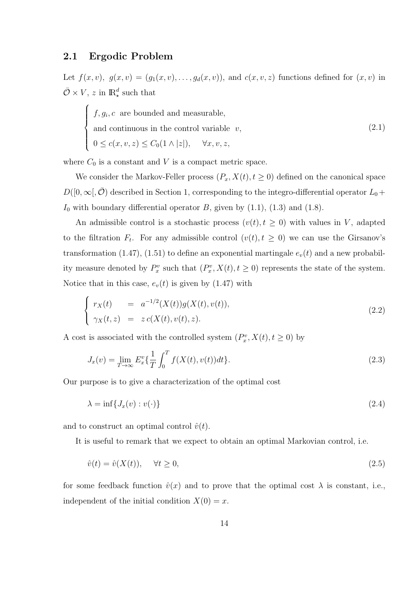### **2.1 Ergodic Problem**

 $\sqrt{ }$  $\Big\}$ 

 $\overline{\mathcal{L}}$ 

Let  $f(x, v)$ ,  $g(x, v) = (g_1(x, v), \ldots, g_d(x, v))$ , and  $c(x, v, z)$  functions defined for  $(x, v)$  in  $\overline{\mathcal{O}} \times V$ , *z* in  $\mathbb{R}^d_*$  such that

$$
f, g_i, c
$$
 are bounded and measurable,  
and continuous in the control variable  $v$ ,  
 $0 \le c(x, v, z) \le C_0(1 \land |z|), \quad \forall x, v, z,$  (2.1)

where  $C_0$  is a constant and  $V$  is a compact metric space.

We consider the Markov-Feller process  $(P_x, X(t), t \ge 0)$  defined on the canonical space  $D([0, \infty), \overline{O})$  described in Section 1, corresponding to the integro-differential operator  $L_0$  +  $I_0$  with boundary differential operator  $B$ , given by  $(1.1)$ ,  $(1.3)$  and  $(1.8)$ .

An admissible control is a stochastic process  $(v(t), t \ge 0)$  with values in *V*, adapted to the filtration  $F_t$ . For any admissible control  $(v(t), t \geq 0)$  we can use the Girsanov's transformation  $(1.47)$ ,  $(1.51)$  to define an exponential martingale  $e_v(t)$  and a new probability measure denoted by  $P_x^v$  such that  $(P_x^v, X(t), t \ge 0)$  represents the state of the system. Notice that in this case,  $e_v(t)$  is given by (1.47) with

$$
\begin{cases}\nr_X(t) = a^{-1/2}(X(t))g(X(t), v(t)), \\
\gamma_X(t, z) = z c(X(t), v(t), z).\n\end{cases}
$$
\n(2.2)

A cost is associated with the controlled system  $(P_x^v, X(t), t \ge 0)$  by

$$
J_x(v) = \lim_{T \to \infty} E_x^v \left\{ \frac{1}{T} \int_0^T f(X(t), v(t)) dt \right\}.
$$
 (2.3)

Our purpose is to give a characterization of the optimal cost

$$
\lambda = \inf \{ J_x(v) : v(\cdot) \} \tag{2.4}
$$

and to construct an optimal control  $\hat{v}(t)$ .

It is useful to remark that we expect to obtain an optimal Markovian control, i.e.

$$
\hat{v}(t) = \hat{v}(X(t)), \quad \forall t \ge 0,
$$
\n
$$
(2.5)
$$

for some feedback function  $\hat{v}(x)$  and to prove that the optimal cost  $\lambda$  is constant, i.e., independent of the initial condition  $X(0) = x$ .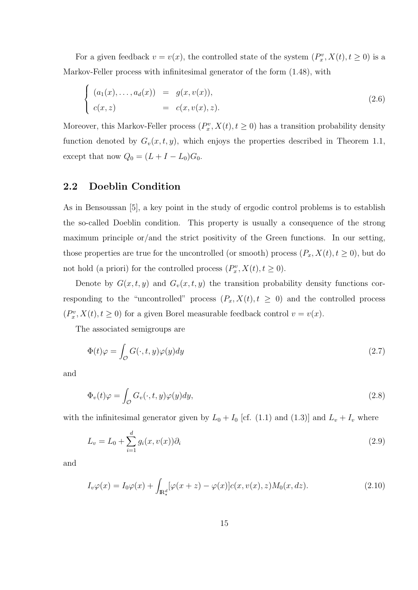For a given feedback  $v = v(x)$ , the controlled state of the system  $(P_x^v, X(t), t \ge 0)$  is a Markov-Feller process with infinitesimal generator of the form (1.48), with

$$
\begin{cases}\n(a_1(x), \ldots, a_d(x)) = g(x, v(x)), \\
c(x, z) = c(x, v(x), z).\n\end{cases}
$$
\n(2.6)

Moreover, this Markov-Feller process  $(P_x^v, X(t), t \ge 0)$  has a transition probability density function denoted by  $G_v(x,t,y)$ , which enjoys the properties described in Theorem 1.1, except that now  $Q_0 = (L + I - L_0)G_0$ .

### **2.2 Doeblin Condition**

As in Bensoussan [5], a key point in the study of ergodic control problems is to establish the so-called Doeblin condition. This property is usually a consequence of the strong maximum principle or/and the strict positivity of the Green functions. In our setting, those properties are true for the uncontrolled (or smooth) process  $(P_x, X(t), t \ge 0)$ , but do not hold (a priori) for the controlled process  $(P_x^v, X(t), t \ge 0)$ .

Denote by  $G(x, t, y)$  and  $G<sub>v</sub>(x, t, y)$  the transition probability density functions corresponding to the "uncontrolled" process  $(P_x, X(t), t \ge 0)$  and the controlled process  $(P_x^v, X(t), t \ge 0)$  for a given Borel measurable feedback control  $v = v(x)$ .

The associated semigroups are

$$
\Phi(t)\varphi = \int_{\mathcal{O}} G(\cdot, t, y)\varphi(y)dy\tag{2.7}
$$

and

$$
\Phi_v(t)\varphi = \int_{\mathcal{O}} G_v(\cdot, t, y)\varphi(y)dy,\tag{2.8}
$$

with the infinitesimal generator given by  $L_0 + I_0$  [cf. (1.1) and (1.3)] and  $L_v + I_v$  where

$$
L_v = L_0 + \sum_{i=1}^d g_i(x, v(x))\partial_i
$$
\n(2.9)

and

$$
I_v \varphi(x) = I_0 \varphi(x) + \int_{\mathbb{R}^d_*} [\varphi(x+z) - \varphi(x)] c(x, v(x), z) M_0(x, dz).
$$
 (2.10)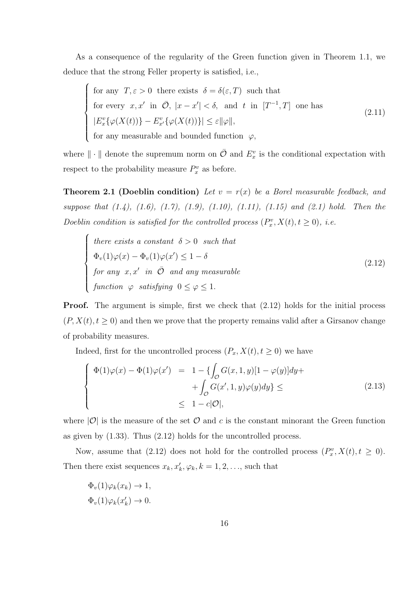As a consequence of the regularity of the Green function given in Theorem 1.1, we deduce that the strong Feller property is satisfied, i.e.,

$$
\begin{cases}\n\text{for any } T, \varepsilon > 0 \text{ there exists } \delta = \delta(\varepsilon, T) \text{ such that} \\
\text{for every } x, x' \text{ in } \bar{\mathcal{O}}, |x - x'| < \delta, \text{ and } t \text{ in } [T^{-1}, T] \text{ one has} \\
|E_x^v \{\varphi(X(t))\} - E_{x'}^v \{\varphi(X(t))\}| \le \varepsilon ||\varphi||, \\
\text{for any measurable and bounded function } \varphi,\n\end{cases}
$$
\n(2.11)

for any measurable and bounded function *φ,*

where  $\|\cdot\|$  denote the supremum norm on  $\overline{O}$  and  $E_x^v$  is the conditional expectation with respect to the probability measure  $P_x^v$  as before.

**Theorem 2.1 (Doeblin condition)** *Let*  $v = r(x)$  *be a Borel measurable feedback, and suppose that (1.4), (1.6), (1.7), (1.9), (1.10), (1.11), (1.15) and (2.1) hold. Then the Doeblin condition is satisfied for the controlled process*  $(P_x^v, X(t), t \ge 0)$ *, i.e.* 

$$
\begin{cases}\n\text{there exists a constant } \delta > 0 \text{ such that} \\
\Phi_v(1)\varphi(x) - \Phi_v(1)\varphi(x') \le 1 - \delta \\
\text{for any } x, x' \text{ in } \bar{\mathcal{O}} \text{ and any measurable} \\
\text{function } \varphi \text{ satisfying } 0 \le \varphi \le 1.\n\end{cases} \tag{2.12}
$$

**Proof.** The argument is simple, first we check that  $(2.12)$  holds for the initial process  $(P, X(t), t \geq 0)$  and then we prove that the property remains valid after a Girsanov change of probability measures.

Indeed, first for the uncontrolled process  $(P_x, X(t), t \geq 0)$  we have

$$
\begin{cases}\n\Phi(1)\varphi(x) - \Phi(1)\varphi(x') &= 1 - \{\int_{\mathcal{O}} G(x, 1, y)[1 - \varphi(y)]dy + \n\end{cases} + \int_{\mathcal{O}} G(x', 1, y)\varphi(y)dy\} \leq
$$
\n(2.13)\n
$$
\leq 1 - c|\mathcal{O}|,
$$

where  $|O|$  is the measure of the set  $O$  and  $c$  is the constant minorant the Green function as given by (1.33). Thus (2.12) holds for the uncontrolled process.

Now, assume that (2.12) does not hold for the controlled process  $(P_x^v, X(t), t \ge 0)$ . Then there exist sequences  $x_k, x'_k, \varphi_k, k = 1, 2, \ldots$ , such that

$$
\Phi_v(1)\varphi_k(x_k) \to 1,
$$
  

$$
\Phi_v(1)\varphi_k(x'_k) \to 0.
$$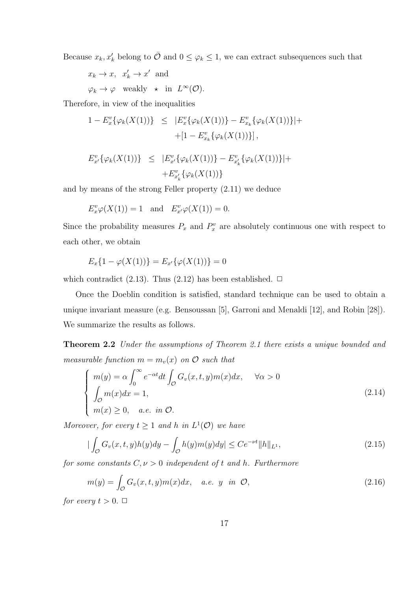Because  $x_k, x'_k$  belong to  $\overline{O}$  and  $0 \leq \varphi_k \leq 1$ , we can extract subsequences such that

 $x_k \to x$ ,  $x'_k \to x'$  and  $\varphi_k \to \varphi$  weakly  $\star$  in  $L^{\infty}(\mathcal{O})$ .

Therefore, in view of the inequalities

$$
1 - E_x^v \{ \varphi_k(X(1)) \} \leq |E_x^v \{ \varphi_k(X(1)) \} - E_{x_k}^v \{ \varphi_k(X(1)) \} | +
$$
  
+ 
$$
[1 - E_{x_k}^v \{ \varphi_k(X(1)) \} ],
$$

$$
E_{x'}^v\{\varphi_k(X(1))\} \leq |E_{x'}^v\{\varphi_k(X(1))\} - E_{x'_k}^v\{\varphi_k(X(1))\}| +
$$
  
+ 
$$
E_{x'_k}^v\{\varphi_k(X(1))\}
$$

and by means of the strong Feller property (2.11) we deduce

$$
E_x^v \varphi(X(1)) = 1
$$
 and  $E_{x'}^v \varphi(X(1)) = 0$ .

Since the probability measures  $P_x$  and  $P_x^v$  are absolutely continuous one with respect to each other, we obtain

$$
E_x\{1-\varphi(X(1))\} = E_{x'}\{\varphi(X(1))\} = 0
$$

which contradict  $(2.13)$ . Thus  $(2.12)$  has been established.  $\Box$ 

Once the Doeblin condition is satisfied, standard technique can be used to obtain a unique invariant measure (e.g. Bensoussan [5], Garroni and Menaldi [12], and Robin [28]). We summarize the results as follows.

**Theorem 2.2** *Under the assumptions of Theorem 2.1 there exists a unique bounded and measurable function*  $m = m_v(x)$  *on*  $\mathcal{O}$  *such that* 

$$
\begin{cases}\nm(y) = \alpha \int_0^\infty e^{-\alpha t} dt \int_{\mathcal{O}} G_v(x, t, y) m(x) dx, & \forall \alpha > 0 \\
\int_{\mathcal{O}} m(x) dx = 1, & (2.14) \\
m(x) \ge 0, & a.e. \text{ in } \mathcal{O}.\n\end{cases}
$$

*Moreover, for every*  $t \geq 1$  *and*  $h$  *in*  $L^1(\mathcal{O})$  *we have* 

$$
|\int_{\mathcal{O}} G_v(x, t, y)h(y)dy - \int_{\mathcal{O}} h(y)m(y)dy| \le Ce^{-\nu t} ||h||_{L^1},
$$
\n(2.15)

*for some constants*  $C, \nu > 0$  *independent of t and h. Furthermore* 

$$
m(y) = \int_{\mathcal{O}} G_v(x, t, y) m(x) dx, \quad a.e. \ y \ in \ \mathcal{O}, \tag{2.16}
$$

*for every*  $t > 0$ .  $\Box$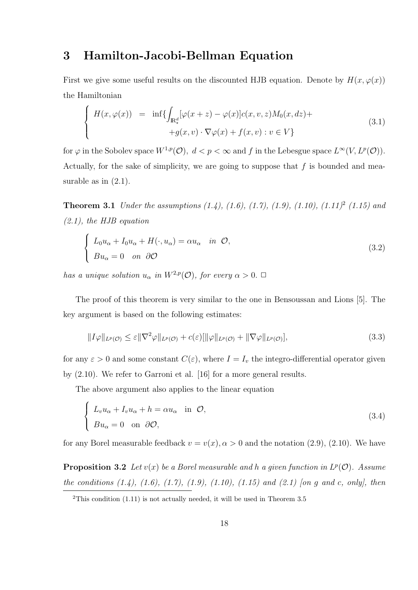## **3 Hamilton-Jacobi-Bellman Equation**

First we give some useful results on the discounted HJB equation. Denote by  $H(x, \varphi(x))$ the Hamiltonian

$$
\begin{cases}\nH(x,\varphi(x)) = \inf \{ \int_{\mathbb{R}^d_*} [\varphi(x+z) - \varphi(x)] c(x,v,z) M_0(x,dz) + \\
\quad + g(x,v) \cdot \nabla \varphi(x) + f(x,v) : v \in V \}\n\end{cases} \tag{3.1}
$$

for  $\varphi$  in the Sobolev space  $W^{1,p}(\mathcal{O}), d < p < \infty$  and f in the Lebesgue space  $L^{\infty}(V, L^p(\mathcal{O}))$ . Actually, for the sake of simplicity, we are going to suppose that *f* is bounded and measurable as in  $(2.1)$ .

**Theorem 3.1** *Under the assumptions (1.4), (1.6), (1.7), (1.9), (1.10), (1.11)*<sup>2</sup> *(1.15) and (2.1), the HJB equation*

$$
\begin{cases}\nL_0 u_\alpha + I_0 u_\alpha + H(\cdot, u_\alpha) = \alpha u_\alpha & \text{in } \mathcal{O}, \\
Bu_\alpha = 0 & \text{on } \partial\mathcal{O}\n\end{cases}
$$
\n(3.2)

*has a unique solution*  $u_{\alpha}$  *in*  $W^{2,p}(\mathcal{O})$ *, for every*  $\alpha > 0$ *.*  $\Box$ 

The proof of this theorem is very similar to the one in Bensoussan and Lions [5]. The key argument is based on the following estimates:

$$
||I\varphi||_{L^{p}(\mathcal{O})} \leq \varepsilon ||\nabla^{2}\varphi||_{L^{p}(\mathcal{O})} + c(\varepsilon)[||\varphi||_{L^{p}(\mathcal{O})} + ||\nabla\varphi||_{L^{p}(\mathcal{O})}],
$$
\n(3.3)

for any  $\varepsilon > 0$  and some constant  $C(\varepsilon)$ , where  $I = I_v$  the integro-differential operator given by (2.10). We refer to Garroni et al. [16] for a more general results.

The above argument also applies to the linear equation

$$
\begin{cases}\nL_v u_\alpha + I_v u_\alpha + h = \alpha u_\alpha & \text{in } \mathcal{O}, \\
Bu_\alpha = 0 & \text{on } \partial \mathcal{O},\n\end{cases}
$$
\n(3.4)

for any Borel measurable feedback  $v = v(x)$ ,  $\alpha > 0$  and the notation (2.9), (2.10). We have

**Proposition 3.2** *Let*  $v(x)$  *be a Borel measurable and h a given function in*  $L^p(\mathcal{O})$ *. Assume the conditions (1.4), (1.6), (1.7), (1.9), (1.10), (1.15) and (2.1) [on g and c, only], then*

<sup>&</sup>lt;sup>2</sup>This condition  $(1.11)$  is not actually needed, it will be used in Theorem 3.5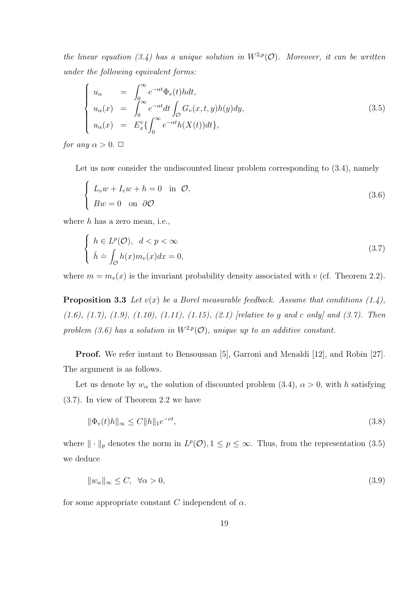*the linear equation (3.4) has a unique solution in*  $W^{2,p}(\mathcal{O})$ *. Moreover, it can be written under the following equivalent forms:*

$$
\begin{cases}\nu_{\alpha} = \int_{0}^{\infty} e^{-\alpha t} \Phi_{v}(t) h dt, \\
u_{\alpha}(x) = \int_{0}^{\infty} e^{-\alpha t} dt \int_{\mathcal{O}} G_{v}(x, t, y) h(y) dy, \\
u_{\alpha}(x) = E_{x}^{v} \{ \int_{0}^{\infty} e^{-\alpha t} h(X(t)) dt \},\n\end{cases}
$$
\n(3.5)

*for any*  $\alpha > 0$ .  $\Box$ 

Let us now consider the undiscounted linear problem corresponding to  $(3.4)$ , namely

$$
\begin{cases}\nL_v w + I_v w + h = 0 & \text{in } \mathcal{O}, \\
Bw = 0 & \text{on } \partial\mathcal{O}\n\end{cases}
$$
\n(3.6)

where *h* has a zero mean, i.e.,

$$
\begin{cases}\nh \in L^p(\mathcal{O}), \ d < p < \infty \\
\bar{h} \doteq \int_{\mathcal{O}} h(x) m_v(x) dx = 0,\n\end{cases} \tag{3.7}
$$

where  $m = m_v(x)$  is the invariant probability density associated with *v* (cf. Theorem 2.2).

**Proposition 3.3** *Let v*(*x*) *be a Borel measurable feedback. Assume that conditions (1.4), (1.6), (1.7), (1.9), (1.10), (1.11), (1.15), (2.1) [relative to g and c only] and (3.7). Then* problem (3.6) has a solution in  $W^{2,p}(\mathcal{O})$ , unique up to an additive constant.

**Proof.** We refer instant to Bensoussan [5], Garroni and Menaldi [12], and Robin [27]. The argument is as follows.

Let us denote by  $w_\alpha$  the solution of discounted problem (3.4),  $\alpha > 0$ , with *h* satisfying (3.7). In view of Theorem 2.2 we have

$$
\|\Phi_v(t)h\|_{\infty} \le C\|h\|_1 e^{-\nu t},\tag{3.8}
$$

where  $\|\cdot\|_p$  denotes the norm in  $L^p(\mathcal{O}), 1 \leq p \leq \infty$ . Thus, from the representation (3.5) we deduce

$$
||w_{\alpha}||_{\infty} \le C, \quad \forall \alpha > 0,
$$
\n(3.9)

for some appropriate constant *C* independent of  $\alpha$ .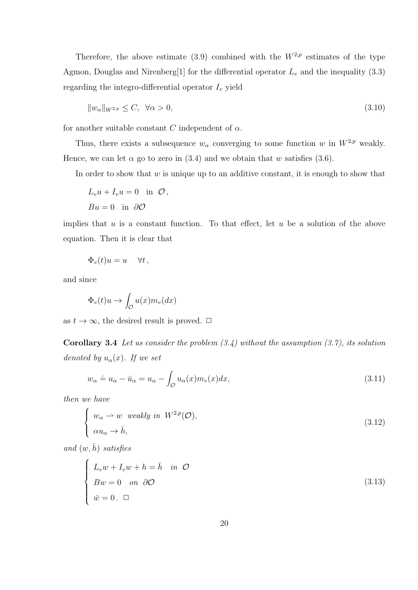Therefore, the above estimate (3.9) combined with the  $W^{2,p}$  estimates of the type Agmon, Douglas and Nirenberg[1] for the differential operator *L<sup>v</sup>* and the inequality (3.3) regarding the integro-differential operator  $I_v$  yield

$$
||w_{\alpha}||_{W^{2,p}} \le C, \quad \forall \alpha > 0,
$$
\n
$$
(3.10)
$$

for another suitable constant *C* independent of  $\alpha$ .

Thus, there exists a subsequence  $w_\alpha$  converging to some function *w* in  $W^{2,p}$  weakly. Hence, we can let  $\alpha$  go to zero in (3.4) and we obtain that *w* satisfies (3.6).

In order to show that *w* is unique up to an additive constant, it is enough to show that

$$
L_v u + I_v u = 0 \text{ in } \mathcal{O},
$$
  

$$
Bu = 0 \text{ in } \partial \mathcal{O}
$$

implies that *u* is a constant function. To that effect, let *u* be a solution of the above equation. Then it is clear that

$$
\Phi_v(t)u = u \quad \forall t \,,
$$

and since

$$
\Phi_v(t)u \to \int_{\mathcal{O}} u(x)m_v(dx)
$$

as  $t \to \infty$ , the desired result is proved.  $\Box$ 

**Corollary 3.4** *Let us consider the problem (3.4) without the assumption (3.7), its solution denoted by*  $u_{\alpha}(x)$ *. If we set* 

$$
w_{\alpha} \doteq u_{\alpha} - \bar{u}_{\alpha} = u_{\alpha} - \int_{\mathcal{O}} u_{\alpha}(x) m_{v}(x) dx,
$$
\n(3.11)

*then we have*

$$
\begin{cases}\nw_{\alpha} \to w \text{ weakly in } W^{2,p}(\mathcal{O}), \\
\alpha u_{\alpha} \to \bar{h},\n\end{cases}
$$
\n(3.12)

 $and (w, \bar{h})$  *satisfies* 

$$
\begin{cases}\nL_v w + I_v w + h = \bar{h} & \text{in } \mathcal{O} \\
Bw = 0 & \text{on } \partial\mathcal{O} \\
\bar{w} = 0. \quad \Box\n\end{cases}
$$
\n(3.13)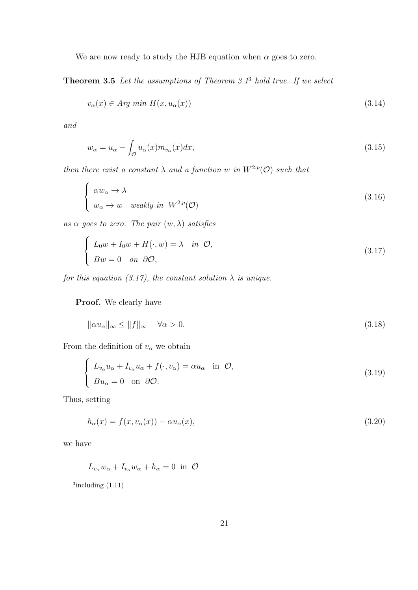We are now ready to study the HJB equation when  $\alpha$  goes to zero.

**Theorem 3.5** *Let the assumptions of Theorem 3.1*<sup>3</sup> *hold true. If we select*

$$
v_{\alpha}(x) \in Arg \ min \ H(x, u_{\alpha}(x)) \tag{3.14}
$$

*and*

$$
w_{\alpha} = u_{\alpha} - \int_{\mathcal{O}} u_{\alpha}(x) m_{v_{\alpha}}(x) dx,
$$
\n(3.15)

*then there exist a constant*  $\lambda$  *and a function w in*  $W^{2,p}(\mathcal{O})$  *such that* 

$$
\begin{cases}\n\alpha w_{\alpha} \to \lambda \\
w_{\alpha} \to w \quad weakly \text{ in } W^{2,p}(\mathcal{O})\n\end{cases}
$$
\n(3.16)

*as α goes to zero. The pair* (*w, λ*) *satisfies*

$$
\begin{cases}\nL_0 w + I_0 w + H(\cdot, w) = \lambda & \text{in } \mathcal{O}, \\
Bw = 0 & \text{on } \partial\mathcal{O},\n\end{cases}
$$
\n(3.17)

*for this equation (3.17), the constant solution*  $\lambda$  *is unique.* 

**Proof.** We clearly have

$$
\|\alpha u_{\alpha}\|_{\infty} \le \|f\|_{\infty} \quad \forall \alpha > 0. \tag{3.18}
$$

From the definition of  $v_\alpha$  we obtain

$$
\begin{cases}\nL_{v_{\alpha}}u_{\alpha} + I_{v_{\alpha}}u_{\alpha} + f(\cdot, v_{\alpha}) = \alpha u_{\alpha} & \text{in } \mathcal{O}, \\
Bu_{\alpha} = 0 & \text{on } \partial\mathcal{O}.\n\end{cases}
$$
\n(3.19)

Thus, setting

 $\overline{a}$ 

$$
h_{\alpha}(x) = f(x, v_{\alpha}(x)) - \alpha u_{\alpha}(x), \qquad (3.20)
$$

we have

$$
L_{v_{\alpha}}w_{\alpha} + I_{v_{\alpha}}w_{\alpha} + h_{\alpha} = 0 \text{ in } \mathcal{O}
$$

 $3$ including  $(1.11)$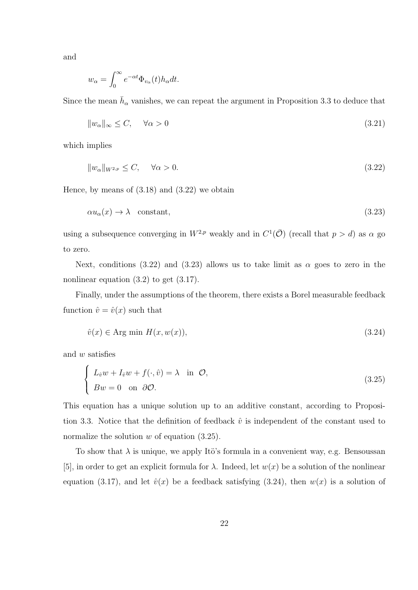and

$$
w_{\alpha} = \int_0^{\infty} e^{-\alpha t} \Phi_{v_{\alpha}}(t) h_{\alpha} dt.
$$

Since the mean  $\bar{h}_{\alpha}$  vanishes, we can repeat the argument in Proposition 3.3 to deduce that

$$
||w_{\alpha}||_{\infty} \le C, \quad \forall \alpha > 0 \tag{3.21}
$$

which implies

$$
||w_{\alpha}||_{W^{2,p}} \le C, \quad \forall \alpha > 0. \tag{3.22}
$$

Hence, by means of  $(3.18)$  and  $(3.22)$  we obtain

$$
\alpha u_{\alpha}(x) \to \lambda \quad \text{constant},\tag{3.23}
$$

using a subsequence converging in  $W^{2,p}$  weakly and in  $C^1(\overline{O})$  (recall that  $p > d$ ) as  $\alpha$  go to zero.

Next, conditions (3.22) and (3.23) allows us to take limit as  $\alpha$  goes to zero in the nonlinear equation  $(3.2)$  to get  $(3.17)$ .

Finally, under the assumptions of the theorem, there exists a Borel measurable feedback function  $\hat{v} = \hat{v}(x)$  such that

$$
\hat{v}(x) \in \text{Arg min } H(x, w(x)),\tag{3.24}
$$

and *w* satisfies

$$
\begin{cases}\nL_{\hat{v}}w + I_{\hat{v}}w + f(\cdot, \hat{v}) = \lambda & \text{in } \mathcal{O}, \\
Bw = 0 & \text{on } \partial\mathcal{O}.\n\end{cases}
$$
\n(3.25)

This equation has a unique solution up to an additive constant, according to Proposition 3.3. Notice that the definition of feedback  $\hat{v}$  is independent of the constant used to normalize the solution *w* of equation (3.25).

To show that  $\lambda$  is unique, we apply Ito's formula in a convenient way, e.g. Bensoussan [5], in order to get an explicit formula for  $\lambda$ . Indeed, let  $w(x)$  be a solution of the nonlinear equation (3.17), and let  $\hat{v}(x)$  be a feedback satisfying (3.24), then  $w(x)$  is a solution of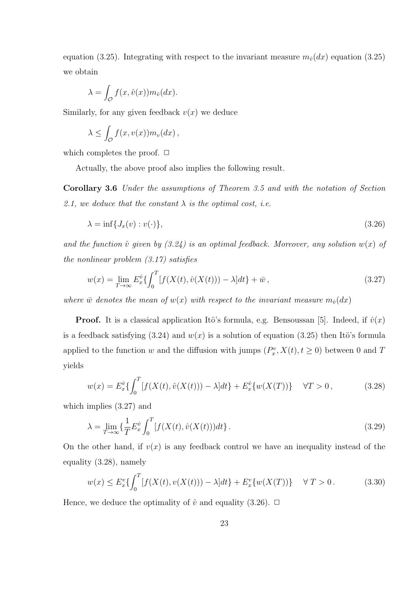equation (3.25). Integrating with respect to the invariant measure  $m_{\hat{v}}(dx)$  equation (3.25) we obtain

$$
\lambda = \int_{\mathcal{O}} f(x, \hat{v}(x)) m_{\hat{v}}(dx).
$$

Similarly, for any given feedback  $v(x)$  we deduce

$$
\lambda \leq \int_{\mathcal{O}} f(x, v(x)) m_v(dx) ,
$$

which completes the proof.  $\Box$ 

Actually, the above proof also implies the following result.

**Corollary 3.6** *Under the assumptions of Theorem 3.5 and with the notation of Section* 2.1, we deduce that the constant  $\lambda$  is the optimal cost, i.e.

$$
\lambda = \inf \{ J_x(v) : v(\cdot) \},\tag{3.26}
$$

and the function  $\hat{v}$  given by  $(3.24)$  is an optimal feedback. Moreover, any solution  $w(x)$  of *the nonlinear problem (3.17) satisfies*

$$
w(x) = \lim_{T \to \infty} E_x^{\hat{v}} \{ \int_0^T [f(X(t), \hat{v}(X(t))) - \lambda] dt \} + \bar{w}, \qquad (3.27)
$$

*where*  $\bar{w}$  *denotes the mean of*  $w(x)$  *with respect to the invariant measure*  $m_{\hat{v}}(dx)$ 

**Proof.** It is a classical application Itö's formula, e.g. Bensoussan [5]. Indeed, if  $\hat{v}(x)$ is a feedback satisfying  $(3.24)$  and  $w(x)$  is a solution of equation  $(3.25)$  then Itö's formula applied to the function *w* and the diffusion with jumps  $(P_x^v, X(t), t \ge 0)$  between 0 and *T* yields

$$
w(x) = E_x^{\hat{v}} \{ \int_0^T [f(X(t), \hat{v}(X(t))) - \lambda] dt \} + E_x^{\hat{v}} \{ w(X(T)) \} \quad \forall T > 0,
$$
\n(3.28)

which implies (3.27) and

$$
\lambda = \lim_{T \to \infty} \left\{ \frac{1}{T} E_x^{\hat{v}} \int_0^T [f(X(t), \hat{v}(X(t))) dt \right\}.
$$
\n(3.29)

On the other hand, if  $v(x)$  is any feedback control we have an inequality instead of the equality (3.28), namely

$$
w(x) \le E_x^v \{ \int_0^T [f(X(t), v(X(t))) - \lambda] dt \} + E_x^v \{ w(X(T)) \} \quad \forall T > 0.
$$
 (3.30)

Hence, we deduce the optimality of  $\hat{v}$  and equality (3.26).  $\Box$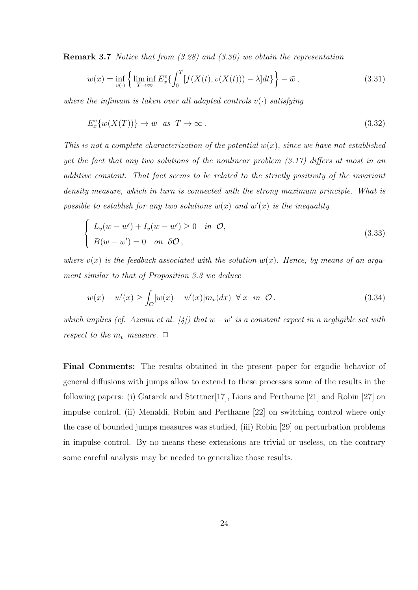**Remark 3.7** *Notice that from (3.28) and (3.30) we obtain the representation*

$$
w(x) = \inf_{v(\cdot)} \left\{ \liminf_{T \to \infty} E_x^v \{ \int_0^T [f(X(t), v(X(t))) - \lambda] dt \} \right\} - \bar{w}, \tag{3.31}
$$

*where the infimum is taken over all adapted controls*  $v(\cdot)$  *satisfying* 

$$
E_x^v\{w(X(T))\} \to \bar{w} \quad \text{as} \quad T \to \infty \,. \tag{3.32}
$$

*This is not a complete characterization of the potential*  $w(x)$ *, since we have not established yet the fact that any two solutions of the nonlinear problem (3.17) differs at most in an additive constant. That fact seems to be related to the strictly positivity of the invariant density measure, which in turn is connected with the strong maximum principle. What is possible to establish for any two solutions*  $w(x)$  *and*  $w'(x)$  *is the inequality* 

$$
\begin{cases}\nL_v(w - w') + I_v(w - w') \ge 0 & \text{in } \mathcal{O}, \\
B(w - w') = 0 & \text{on } \partial\mathcal{O},\n\end{cases}
$$
\n(3.33)

*where*  $v(x)$  *is the feedback associated with the solution*  $w(x)$ *. Hence, by means of an argument similar to that of Proposition 3.3 we deduce*

$$
w(x) - w'(x) \ge \int_{\mathcal{O}} [w(x) - w'(x)] m_v(dx) \ \forall x \ \text{in } \mathcal{O} \,.
$$
 (3.34)

*which implies (cf. Azema et al.* [4]) that  $w - w'$  is a constant expect in a negligible set with *respect to the*  $m_v$  *measure.*  $\Box$ 

**Final Comments:** The results obtained in the present paper for ergodic behavior of general diffusions with jumps allow to extend to these processes some of the results in the following papers: (i) Gatarek and Stettner[17], Lions and Perthame [21] and Robin [27] on impulse control, (ii) Menaldi, Robin and Perthame [22] on switching control where only the case of bounded jumps measures was studied, (iii) Robin [29] on perturbation problems in impulse control. By no means these extensions are trivial or useless, on the contrary some careful analysis may be needed to generalize those results.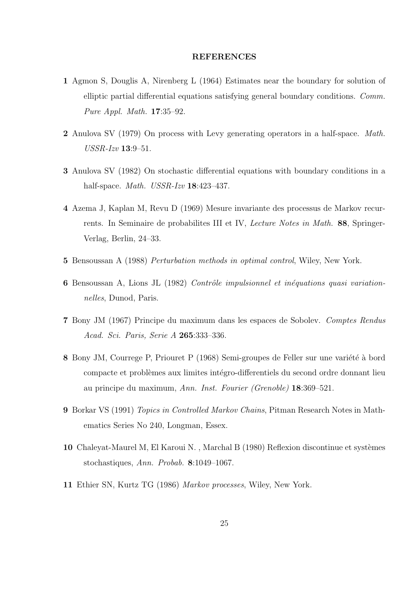#### **REFERENCES**

- **1** Agmon S, Douglis A, Nirenberg L (1964) Estimates near the boundary for solution of elliptic partial differential equations satisfying general boundary conditions. *Comm. Pure Appl. Math.* **17**:35–92.
- **2** Anulova SV (1979) On process with Levy generating operators in a half-space. *Math. USSR-Izv* **13**:9–51.
- **3** Anulova SV (1982) On stochastic differential equations with boundary conditions in a half-space. *Math. USSR-Izv* **18**:423–437.
- **4** Azema J, Kaplan M, Revu D (1969) Mesure invariante des processus de Markov recurrents. In Seminaire de probabilites III et IV, *Lecture Notes in Math.* **88**, Springer-Verlag, Berlin, 24–33.
- **5** Bensoussan A (1988) *Perturbation methods in optimal control*, Wiley, New York.
- **6** Bensoussan A, Lions JL (1982) *Contrôle impulsionnel et inéquations quasi variationnelles*, Dunod, Paris.
- **7** Bony JM (1967) Principe du maximum dans les espaces de Sobolev. *Comptes Rendus Acad. Sci. Paris, Serie A* **265**:333–336.
- 8 Bony JM, Courrege P, Priouret P (1968) Semi-groupes de Feller sur une variété à bord compacte et problèmes aux limites intégro-differentiels du second ordre donnant lieu au principe du maximum, *Ann. Inst. Fourier (Grenoble)* **18**:369–521.
- **9** Borkar VS (1991) *Topics in Controlled Markov Chains*, Pitman Research Notes in Mathematics Series No 240, Longman, Essex.
- 10 Chaleyat-Maurel M, El Karoui N., Marchal B (1980) Reflexion discontinue et systèmes stochastiques, *Ann. Probab.* **8**:1049–1067.
- **11** Ethier SN, Kurtz TG (1986) *Markov processes*, Wiley, New York.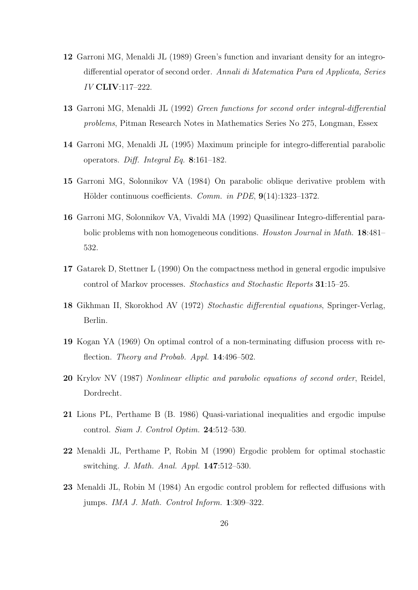- **12** Garroni MG, Menaldi JL (1989) Green's function and invariant density for an integrodifferential operator of second order. *Annali di Matematica Pura ed Applicata, Series IV* **CLIV**:117–222.
- **13** Garroni MG, Menaldi JL (1992) *Green functions for second order integral-differential problems*, Pitman Research Notes in Mathematics Series No 275, Longman, Essex
- **14** Garroni MG, Menaldi JL (1995) Maximum principle for integro-differential parabolic operators. *Diff. Integral Eq.* **8**:161–182.
- **15** Garroni MG, Solonnikov VA (1984) On parabolic oblique derivative problem with Hölder continuous coefficients. *Comm. in PDE*, 9(14):1323-1372.
- **16** Garroni MG, Solonnikov VA, Vivaldi MA (1992) Quasilinear Integro-differential parabolic problems with non homogeneous conditions. *Houston Journal in Math.* **18**:481– 532.
- **17** Gatarek D, Stettner L (1990) On the compactness method in general ergodic impulsive control of Markov processes. *Stochastics and Stochastic Reports* **31**:15–25.
- **18** Gikhman II, Skorokhod AV (1972) *Stochastic differential equations*, Springer-Verlag, Berlin.
- **19** Kogan YA (1969) On optimal control of a non-terminating diffusion process with reflection. *Theory and Probab. Appl.* **14**:496–502.
- **20** Krylov NV (1987) *Nonlinear elliptic and parabolic equations of second order*, Reidel, Dordrecht.
- **21** Lions PL, Perthame B (B. 1986) Quasi-variational inequalities and ergodic impulse control. *Siam J. Control Optim.* **24**:512–530.
- **22** Menaldi JL, Perthame P, Robin M (1990) Ergodic problem for optimal stochastic switching. *J. Math. Anal. Appl.* **147**:512–530.
- **23** Menaldi JL, Robin M (1984) An ergodic control problem for reflected diffusions with jumps. *IMA J. Math. Control Inform.* **1**:309–322.